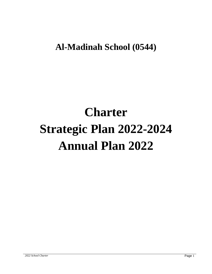**Al-Madinah School (0544)**

# **Charter Strategic Plan 2022-2024 Annual Plan 2022**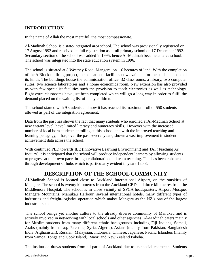## **INTRODUCTION**

In the name of Allah the most merciful, the most compassionate.

Al-Madinah School is a state-integrated area school. The school was provisionally registered on 17 August 1992 and received its full registration as a full primary school on 17 December 1992. Secondary section of the school was added in 1995; hence Al-Madinah became an area school. The school was integrated into the state education system in 1996.

The school is situated at 8 Westney Road, Mangere, on 1.6 hectares of land. With the completion of the A Block uplifting project, the educational facilities now available for the students is one of its kinds. The buildings house the administration office, 32 classrooms, a library, two computer suites, two science laboratories and a home economics room. New extension has also provided us with few specialist facilities such the provision to teach electronics as well as technology. Eight extra classrooms have just been completed which will go a long way in order to fulfil the demand placed on the waiting list of many children.

The school started with 9 students and now it has reached its maximum roll of 550 students allowed as part of the integration agreement.

Data from the past has shown the fact that many students who enrolled at Al-Madinah School at new entrant level, have limited literacy and numeracy skills. However with the increased number of local born students enrolling at this school and with the improved teaching and learning pedagogy, it has, over the past several years, shown a vast improvement in student achievement data across the school.

With continued PLD towards ILE (innovative Learning Environment) and TAI (Teaching As Inquiry) it is anticipated that the school will produce independent learners by allowing students to progress at their own pace through collaboration and team teaching. This has been enhanced through development of hubs which is particularly evident in years 1 to 8.

# **DESCRIPTION OF THE SCHOOL COMMUNITY**

Al-Madinah School is located close to Auckland International Airport, on the outskirts of Mangere. The school is twenty kilometres from the Auckland CBD and three kilometres from the Middlemore Hospital. The school is in close vicinity of SPCA headquarters, Airport Mosque, Mangere Mountains, Manukau Harbour, several international hotels, many different types of industries and freight-logistics operation which makes Mangere as the NZ's one of the largest industrial zone.

The school brings yet another culture to the already diverse community of Manukau and is actively involved in networking with local schools and other agencies. Al-Madinah caters mainly for Muslim students from many different ethnic backgrounds including Fiji Indians, Somali, Arabs (mainly from Iraq, Palestine, Syria, Algeria), Asians (mainly from Pakistan, Bangladesh India, Afghanistan), Russian, Malaysian, Indonesia, Chinese, Japanese, Pacific Islanders (mainly from Samoa, Tonga and Cook Island), Maori and New Zealand Pakeha.

The institution draws students from all parts of Auckland due to its special character. Students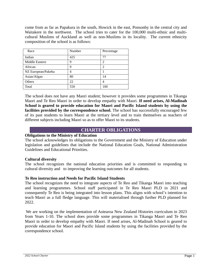come from as far as Papakura in the south, Howick in the east, Ponsonby in the central city and Waitakere in the northwest. The school tries to cater for the 100,000 multi-ethnic and multicultural Muslims of Auckland as well as non-Muslims in its locality. The current ethnicity composition of the school is as follows:

| Race               | Number         | Percentage     |
|--------------------|----------------|----------------|
| Indian             | 425            | 77             |
| Middle Eastern     | 9              | $\overline{c}$ |
| African            | 9              | $\mathfrak{D}$ |
| NZ European/Pakeha | $\overline{4}$ |                |
| Asian/Afgan        | 80             | 14             |
| Others             | 22             | 4              |
| Total              | 550            | 100            |

The school does not have any Maori student; however it provides some programmes in Tikanga Maori and Te Reo Maori in order to develop empathy with Maori. **If need arises, Al-Madinah School is geared to provide education for Maori and Pacific Island students by using the**  facilities provided by the correspondence school. The school has successfully encouraged few of its past students to learn Maori at the tertiary level and to train themselves as teachers of different subjects including Maori so as to offer Maori to its students.

#### **CHARTER OBLIGATIONS**

#### **Obligations to the Ministry of Education**

The school acknowledges its obligations to the Government and the Ministry of Education under legislation and guidelines that include the National Education Goals, National Administration Guidelines and Educational Priorities.

#### **Cultural diversity**

The school recognizes the national education priorities and is committed to responding to cultural diversity and to improving the learning outcomes for all students.

#### **Te Reo instruction and Needs for Pacific Island Students**

The school recognizes the need to integrate aspects of Te Reo and Tikanga Maori into teaching and learning programmes. School staff participated in Te Reo Maori PLD in 2021 and consequently Te Reo is being integrated into lesson plans. This aligns with school's intention to teach Maori as a full fledge language. This will materialised through further PLD planned for 2022.

We are working on the implementation of Aotearoa New Zealand Histories curriculum in 2023 from Years 1-10. The school does provide some programmes in Tikanga Maori and Te Reo Maori in order to develop empathy with Maori. If need arises, Al-Madinah School is geared to provide education for Maori and Pacific Island students by using the facilities provided by the correspondence school.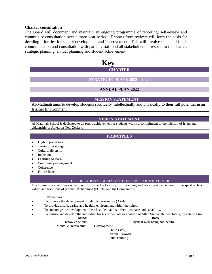#### **Charter consultation**

The Board will document and maintain an ongoing programme of reporting, self-review and community consultation over a three-year period. Reports from reviews will form the basis for deciding priorities for school development and improvement. This will involve open and frank communication and consultation with parents, staff and all stakeholders in respect to the charter, strategic planning, annual planning and student achievement.

### **Key CHARTER**

#### **STRATEGIC PLANS 2022 – 2024**

#### **ANNUAL PLAN 2022**

#### **MISSION STATEMENT**

Al-Madinah aims to develop students spiritually, intellectually and physically to their full potential in an Islamic Environment.

#### **VISION STATEMENT**

Al-Madinah School is dedicated to all round achievement of students within a commitment to the mission of Islam and citizenship of Aotearoa New Zealand

#### **PRINCIPLES**

- High expectations
- Treaty of Waitangi
- Cultural diversity
- Inclusion
- Learning to learn
- Community engagement
- Coherence
- Future focus

#### THE EDUCATIONAL GOALS AND OBJECTIVES OF THE SCHOOL

The Islamic code of ethics is the basis for the school's daily life. Teaching and learning is carried out in the spirit of Islamic values and traditions of prophet Muhammed (PBUH) and his Companions.

#### **Objectives**

- To promote the development of Islamic personality (Akhlaq)
- To provide a safe, caring and healthy environment within the school.
- To encourage the development of each student at his or her own pace and capability.
- To nurture and develop the individual for his or her role as khalifah of Allah Subhanahu wa Ta'ala, by catering for:

#### **Mind: Body:**

Knowledge and Physical well-being and health

Mental & Intellectual Development

**Ruh (soul):** Spiritual Growth and Training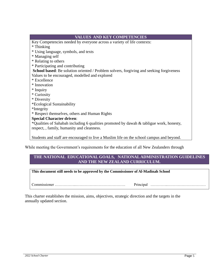| <b>VALUES AND KEY COMPETENCIES</b>                                                       |
|------------------------------------------------------------------------------------------|
| Key Competencies needed by everyone across a variety of life contexts:                   |
| * Thinking                                                                               |
| * Using language, symbols, and texts                                                     |
| * Managing self                                                                          |
| * Relating to others                                                                     |
| * Participating and contributing                                                         |
| School based: Be solution oriented / Problem solvers, forgiving and seeking forgiveness  |
| Values to be encouraged, modelled and explored                                           |
| * Excellence                                                                             |
| * Innovation                                                                             |
| * Inquiry                                                                                |
| * Curiosity                                                                              |
| * Diversity                                                                              |
| *Ecological Sustainability                                                               |
| *Integrity                                                                               |
| * Respect themselves, others and Human Rights                                            |
| <b>Special Character driven:</b>                                                         |
| *Qualities of Sahabah including 6 qualities promoted by dawah & tabligue work, honesty,  |
| respect, , family, humanity and cleanness.                                               |
|                                                                                          |
| Students and staff are encouraged to live a Muslim life on the school campus and beyond. |

While meeting the Government's requirements for the education of all New Zealanders through

#### **THE NATIONAL EDUCATIONAL GOALS, NATIONAL ADMINISTRATION GUIDELINES AND THE NEW ZEALAND CURRICULUM.**

#### **This document still needs to be approved by the Commissioner of Al-Madinah School**

Commissioner ……………..………………………………… Principal …………..…………………………

This charter establishes the mission, aims, objectives, strategic direction and the targets in the annually updated section.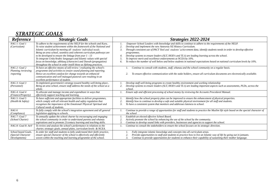# *STRATEGIC GOALS*

| Reference                                                  | <b>Strategic Goals</b>                                                                                                                                                                                                                                                                                                                                                                                                                                                                                                                                          | Strategies 2022-2024                                                                                                                                                                                                                                                                                                                                                                                                                                                                                                                                                                                                                    |
|------------------------------------------------------------|-----------------------------------------------------------------------------------------------------------------------------------------------------------------------------------------------------------------------------------------------------------------------------------------------------------------------------------------------------------------------------------------------------------------------------------------------------------------------------------------------------------------------------------------------------------------|-----------------------------------------------------------------------------------------------------------------------------------------------------------------------------------------------------------------------------------------------------------------------------------------------------------------------------------------------------------------------------------------------------------------------------------------------------------------------------------------------------------------------------------------------------------------------------------------------------------------------------------------|
| NAG 1: Goal 1<br>(Curriculum)                              | To adhere to the requirements of the NELP for the schools and Kura<br>To raise student achievement within the framework of the National and<br>Islamic curriculum by meeting all students' individual needs.<br>Being an area school, seamless and coherent curriculum pathways are<br>to be developed to ensure the linkage from year $1 - 13$<br>To integrate Urdu/Arabic languages and Islamic values with special<br>focus on knowledge, akhlaaq (character) and Dawah (propagation)<br>throughout the school in order instill these as lifelong practices. | Empower School Leaders with knowledge and skills to continue to adhere to the requirements of the NELP.<br>2.<br>Develop and implement the new Aoteoroa NZ History Curriculum.<br>Through consistent use of PACT Tool and students' achievement data, identify students needs in order to develop effective<br>3.<br>programmes.<br>Develop systems to ensure leaders (SLT, HOD's and TL's) are leading learning across the school.<br>To improve merit and excellence endorsements at NCEA by 10%.<br>To reduce the number of well below and below students in national expectations based on national curriculum levels by 10%.<br>6. |
| NAG 2: Goal 2<br>Planning /reviewing<br>/reporting         | To have an effective means of self review / evaluating the school's<br>programme and activities to ensure sound planning and reporting.<br>Hence an excellent catalyst for change towards an enhanced<br>communication and well managed pastoral care resulting in an<br>excellent performance of student.                                                                                                                                                                                                                                                      | Continue to consult with students, staff, whanau and the school community on a regular basis.<br>To ensure effective communication with the stake holders, ensure all curriculum documents are electronically available.                                                                                                                                                                                                                                                                                                                                                                                                                |
| NAG 3: Goal 3<br>(Personnel)                               | To implement government's strategy toward healthy well-being place<br>Being an area school, ensure staff address the needs of the school as a<br>whole.                                                                                                                                                                                                                                                                                                                                                                                                         | Develop staff well-being programs to create healthy environment and working relationship<br>Develop systems to ensure leaders (SLT, HOD's and TL's) are leading important aspects such as assessments, PLDs, across the<br>school                                                                                                                                                                                                                                                                                                                                                                                                       |
| NAG 4: Goal 4<br>(Finance/Property)                        | To allocate and manage income and expenditure in ways that<br>effectively support teaching and learning.                                                                                                                                                                                                                                                                                                                                                                                                                                                        | Ensure safe and efficient processing of school money by reviewing the Accounts Procedural Manual.                                                                                                                                                                                                                                                                                                                                                                                                                                                                                                                                       |
| NAG 5: Goal 5<br>(Health & Safety)                         | To have sufficient and appropriate facilities to deliver programmes,<br>which comply with all relevant health and safety regulation that<br>recognises the importance of the Emotional/Physical/Spiritual and<br>Cultural needs of students.                                                                                                                                                                                                                                                                                                                    | Identify how the school property plan can be improved to ensure the enhancement of physical properties.<br>Identify how to continue to develop a safe and suitable physical environment for all staff and students.<br>To have a consistent system that monitors and addresses lateness to school.<br>3.                                                                                                                                                                                                                                                                                                                                |
| NAG6<br>(Compliance)                                       | To fully comply with the school's integration agreement and all general<br>legislation applying to schools.                                                                                                                                                                                                                                                                                                                                                                                                                                                     | Continue to provide a range of opportunities for staff and students to practice the Muslim life style based on the special character of<br>the school                                                                                                                                                                                                                                                                                                                                                                                                                                                                                   |
| NAG 7: Goal 7<br>(School Charter)                          | To annually update the school charter by encouraging and engaging<br>the school community in order to understand parents and whanau<br>aspirations and to promote 21 century learning and teaching skills.                                                                                                                                                                                                                                                                                                                                                      | Establish an elected effective School Board.<br>Actively promote the school by enhancing the use of the school by the community.<br>2.<br>Continue to develop sound links with providers, businesses and agencies to support the school.                                                                                                                                                                                                                                                                                                                                                                                                |
| NAG 8: Goal 8: AoV                                         | To review and analyse the school's performance in relations to the<br>charter, strategic goals, annual plans, curriculum levels & NCEA.                                                                                                                                                                                                                                                                                                                                                                                                                         | Continue to consult the stakeholders to ensure the school focuses on its strategic direction.                                                                                                                                                                                                                                                                                                                                                                                                                                                                                                                                           |
| School based Goals.<br>(Special Character<br>Developments) | In order for staff and students to fully understand their faith/practice,<br>ensure special character of the school is effectively and efficiently<br>woven within the teaching and learning programme of the school.                                                                                                                                                                                                                                                                                                                                           | Fully integrate islamic knowledge and concepts into all curriculum areas.<br>Provide opportunities to staff and students to practice how to live an Islamic way of life by going out in jamaats.<br>Continue to provide opportunities for students to enhance their capability of sustaining their mother language.                                                                                                                                                                                                                                                                                                                     |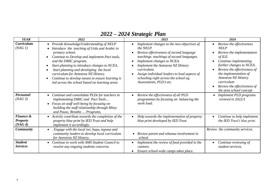# *2022 – 2024 Strategic Plan*

| <b>YEAR</b>                             | 2022                                                                                                                                                                                                                                                                                                                                                                                                                         | 2023                                                                                                                                                                                                                                                                                                                                                  | 2024                                                                                                                                                                                                                                                                                                     |
|-----------------------------------------|------------------------------------------------------------------------------------------------------------------------------------------------------------------------------------------------------------------------------------------------------------------------------------------------------------------------------------------------------------------------------------------------------------------------------|-------------------------------------------------------------------------------------------------------------------------------------------------------------------------------------------------------------------------------------------------------------------------------------------------------------------------------------------------------|----------------------------------------------------------------------------------------------------------------------------------------------------------------------------------------------------------------------------------------------------------------------------------------------------------|
| <b>Curriculum</b><br>(NAG1)             | • Provide Knowledge/Understanding of NELP<br>Introduce the teaching of Urdu and Arabic in<br>primary school.<br>Continue to Develop and implement Pact tools,<br>and the DMIC program.<br>Start planning to introduce changes to NCEA.<br>Start planning and developing the local<br>curriculum for Aotearoa NZ History.<br>Continue to develop means to ensure learning is<br>led across the school based on learning areas | Implement changes to the new objectives of<br>the NELP.<br>Review effectiveness of second language<br>teachings. teachings of second languages.<br>Implement changes to NCEA.<br>Implement the Aotearoa NZ History<br>curriculum.<br>Assign individual leaders to lead aspects of<br>schooling right across the school eg.<br>Assessments, PLD's etc. | Review the effectiveness<br><b>NELP</b><br>Review the implementation<br>of ILE.<br>Continue implementing<br>further changes to NCEA.<br>Review the effectiveness of<br>the implementation of<br>Aotearoa NZ History<br>curriculum<br>Review the effectiveness of<br>$\bullet$<br>the area school concept |
| Personnel<br>(NAG3)                     | Continue and consolidate PLDs for teachers in<br>$\bullet$<br>implementing DMIC and Pact Tools<br>Focus on staff well-being by focusing on<br>$\bullet$<br>building the staff relationship through Mitey<br>and Pause, Breathe Programs.                                                                                                                                                                                     | Review the effectiveness of all PLD<br>programmes by focusing on balancing the<br>work load.                                                                                                                                                                                                                                                          | <b>Implement PLD</b> programs<br>reviewd in 2022/3                                                                                                                                                                                                                                                       |
| Finance &<br><b>Property</b><br>(NAG 4) | Activily contribute towards the completion of the<br>$\bullet$<br>property blue print by IED Trust and help<br><i>implement it accordingly.</i>                                                                                                                                                                                                                                                                              | Help towards the implementation of property<br>blue print developed by IED Trust.                                                                                                                                                                                                                                                                     | Continue to help implement<br>the IED Trust's blue print.                                                                                                                                                                                                                                                |
| <b>Community</b>                        | . Engage with the local iwi, hapu, tupuna and<br>$\bullet$<br>community leaders to develop local curriculum<br>for Aoreoroa NZ History.                                                                                                                                                                                                                                                                                      | Review parent and whanau involvement in<br>school.                                                                                                                                                                                                                                                                                                    | Review the community services.                                                                                                                                                                                                                                                                           |
| <b>Student</b><br><b>Services</b>       | Continue to work with AMS Student Council to<br>$\bullet$<br>resolve any ongoing students concerns.                                                                                                                                                                                                                                                                                                                          | Implement the review of food provided in the<br>canteen.<br>Ensure school-wide camps takes place.                                                                                                                                                                                                                                                     | Continue reviewing of<br>student services.                                                                                                                                                                                                                                                               |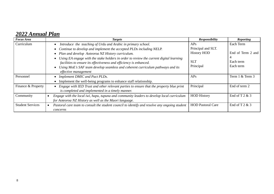# *2022 Annual Plan*

| <b>Focus Area</b>       | <b>Targets</b>                                                                                         | <b>Responsibility</b>    | <b>Reporting</b>  |
|-------------------------|--------------------------------------------------------------------------------------------------------|--------------------------|-------------------|
| Curriculum              | Introduce the teaching of Urdu and Arabic in primary school.<br>$\bullet$                              | APs                      | Each Term         |
|                         | Continue to develop and implement the accepted PLDs including NELP.                                    | Principal and SLT.       |                   |
|                         | Plan and develop Aoteoroa NZ History curriculum.                                                       | <b>History HOD</b>       | End of Term 2 and |
|                         | Using EA engage with the stake holders in order to review the current digital learning<br>$\bullet$    |                          |                   |
|                         | facilities to ensure its effectiveness and efficiency is enhanced.                                     | <b>SLT</b>               | Each term         |
|                         | Using MoE's SAF team develop seamless and coherent curriculum pathways and its<br>$\bullet$            | Principal                | Each term         |
|                         | effective management                                                                                   |                          |                   |
| Personnel               | Implement DMIC and Pact PLDs.<br>$\bullet$                                                             | APs                      | Term 1 & Term 3   |
|                         | Implement the well-being programs to enhance staff relationship.                                       |                          |                   |
| Finance & Property      | • Engage with IED Trust and other relevant parties to ensure that the property blue print              | Principal                | End of term 2     |
|                         | is completed and implemented in a timely manner.                                                       |                          |                   |
| Community               | Engage with the local iwi, hapu, tupuna and community leaders to develop local curriculum<br>$\bullet$ | <b>HOD History</b>       | End of T $2 & 3$  |
|                         | for Aoteoroa NZ History as well as the Maori language.                                                 |                          |                   |
| <b>Student Services</b> | Pastoral care team to consult the student council to identify and resolve any ongoing student          | <b>HOD Pastoral Care</b> | End of T $2 & 3$  |
|                         | concerns                                                                                               |                          |                   |